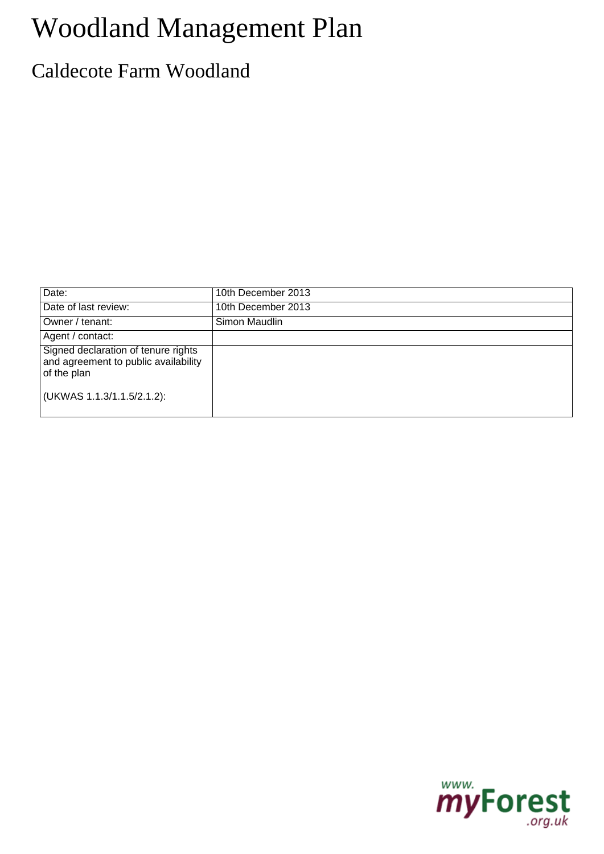# Woodland Management Plan

## Caldecote Farm Woodland

| Date:                                                                                      | 10th December 2013 |
|--------------------------------------------------------------------------------------------|--------------------|
| Date of last review:                                                                       | 10th December 2013 |
| Owner / tenant:                                                                            | Simon Maudlin      |
| Agent / contact:                                                                           |                    |
| Signed declaration of tenure rights<br>and agreement to public availability<br>of the plan |                    |
| (UKWAS 1.1.3/1.1.5/2.1.2):                                                                 |                    |

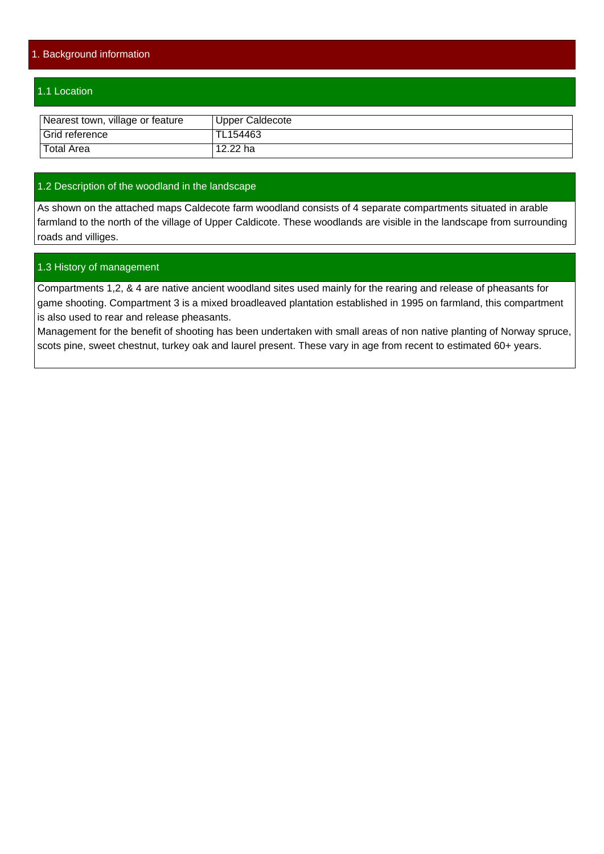#### 1. Background information

#### 1.1 Location

| Nearest town, village or feature | Upper Caldecote |
|----------------------------------|-----------------|
| Grid reference                   | TL154463        |
| <b>Total Area</b>                | 12.22 ha        |

#### 1.2 Description of the woodland in the landscape

As shown on the attached maps Caldecote farm woodland consists of 4 separate compartments situated in arable farmland to the north of the village of Upper Caldicote. These woodlands are visible in the landscape from surrounding roads and villiges.

#### 1.3 History of management

Compartments 1,2, & 4 are native ancient woodland sites used mainly for the rearing and release of pheasants for game shooting. Compartment 3 is a mixed broadleaved plantation established in 1995 on farmland, this compartment is also used to rear and release pheasants.

Management for the benefit of shooting has been undertaken with small areas of non native planting of Norway spruce, scots pine, sweet chestnut, turkey oak and laurel present. These vary in age from recent to estimated 60+ years.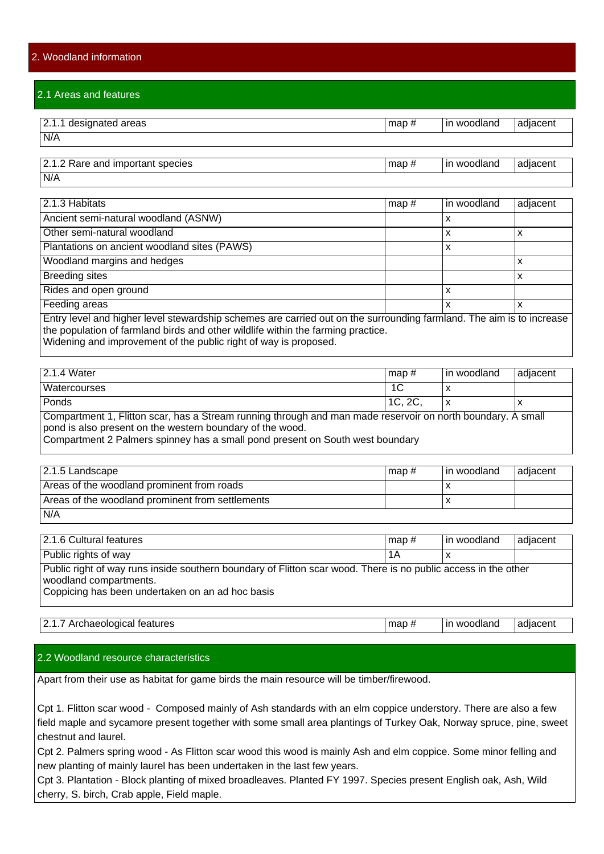#### 2.1 Areas and features

| $ 2.1.1$ designated areas | map# | l in woodland | adjacent |
|---------------------------|------|---------------|----------|
| N/A                       |      |               |          |
|                           |      |               |          |

| 12.1.2<br>2 Rare and important species |  | woodland<br>ın | 'adiacent |
|----------------------------------------|--|----------------|-----------|
| N/A                                    |  |                |           |

| $\sqrt{2.1.3}$ Habitats                                                                                                                                                                                                                                                      | map $#$ | l in woodland. | adjacent |
|------------------------------------------------------------------------------------------------------------------------------------------------------------------------------------------------------------------------------------------------------------------------------|---------|----------------|----------|
| Ancient semi-natural woodland (ASNW)                                                                                                                                                                                                                                         |         | х              |          |
| Other semi-natural woodland                                                                                                                                                                                                                                                  |         | x              | л        |
| Plantations on ancient woodland sites (PAWS)                                                                                                                                                                                                                                 |         | x              |          |
| Woodland margins and hedges                                                                                                                                                                                                                                                  |         |                | ⋏        |
| <b>Breeding sites</b>                                                                                                                                                                                                                                                        |         |                | x        |
| Rides and open ground                                                                                                                                                                                                                                                        |         | x              |          |
| Feeding areas                                                                                                                                                                                                                                                                |         | 'Χ             | x        |
| Entry level and higher level stewardship schemes are carried out on the surrounding farmland. The aim is to increase<br>the population of farmland birds and other wildlife within the farming practice.<br>Widening and improvement of the public right of way is proposed. |         |                |          |

| Water<br>2.1<br>.4                                                                                                                                        | $\text{map }#$                     | l in woodland | ladjacent |  |
|-----------------------------------------------------------------------------------------------------------------------------------------------------------|------------------------------------|---------------|-----------|--|
| Watercourses                                                                                                                                              | .U                                 | $\sqrt{ }$    |           |  |
| Ponds                                                                                                                                                     | $\sim$<br>$\overline{ }$<br>10. ZU | ◠             | $\lambda$ |  |
| . Elittera e con de como Otrogono interior de contrare de discontrare de concerto de la conde de condeixa.<br>$\Lambda$ $\sim$ $\sim$ $\sim$ $\sim$ $\mu$ |                                    |               |           |  |

Compartment 1, Flitton scar, has a Stream running through and man made reservoir on north boundary. A small pond is also present on the western boundary of the wood.

Compartment 2 Palmers spinney has a small pond present on South west boundary

| 2.1.5 Landscape                                  | l map # | l in woodland | l adiacent |
|--------------------------------------------------|---------|---------------|------------|
| Areas of the woodland prominent from roads       |         |               |            |
| Areas of the woodland prominent from settlements |         |               |            |
| N/A                                              |         |               |            |

| 2.1.6 Cultural features                                                                                                                                                                      | $\mathsf{map}$ # | l in woodland | adjacent |
|----------------------------------------------------------------------------------------------------------------------------------------------------------------------------------------------|------------------|---------------|----------|
| Public rights of way                                                                                                                                                                         | 1Α               |               |          |
| Public right of way runs inside southern boundary of Flitton scar wood. There is no public access in the other<br>woodland compartments.<br>Coppicing has been undertaken on an ad hoc basis |                  |               |          |

#### |2.1.7 Archaeological features map # in woodland adjacent

#### 2.2 Woodland resource characteristics

Apart from their use as habitat for game birds the main resource will be timber/firewood.

Cpt 1. Flitton scar wood - Composed mainly of Ash standards with an elm coppice understory. There are also a few field maple and sycamore present together with some small area plantings of Turkey Oak, Norway spruce, pine, sweet chestnut and laurel.

Cpt 2. Palmers spring wood - As Flitton scar wood this wood is mainly Ash and elm coppice. Some minor felling and new planting of mainly laurel has been undertaken in the last few years.

Cpt 3. Plantation - Block planting of mixed broadleaves. Planted FY 1997. Species present English oak, Ash, Wild cherry, S. birch, Crab apple, Field maple.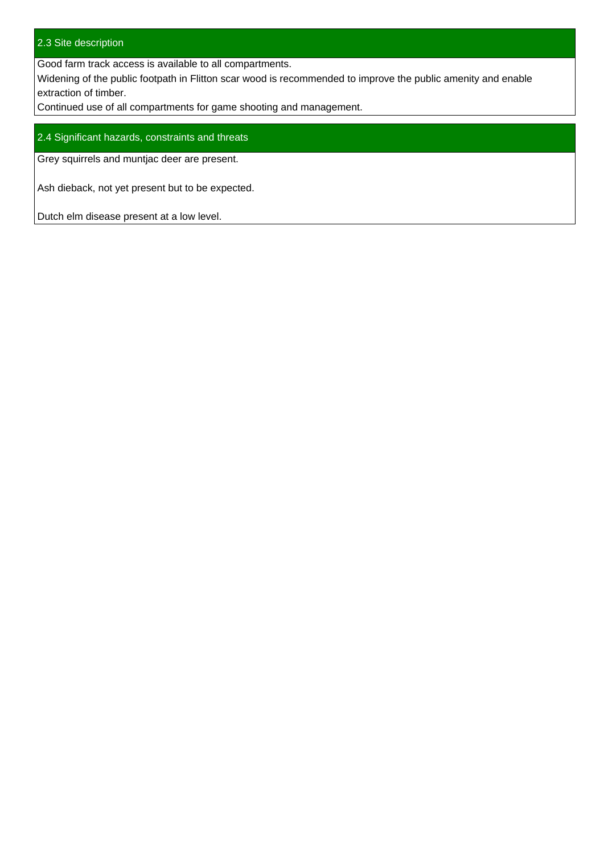#### 2.3 Site description

Good farm track access is available to all compartments.

Widening of the public footpath in Flitton scar wood is recommended to improve the public amenity and enable extraction of timber.

Continued use of all compartments for game shooting and management.

#### 2.4 Significant hazards, constraints and threats

Grey squirrels and muntjac deer are present.

Ash dieback, not yet present but to be expected.

Dutch elm disease present at a low level.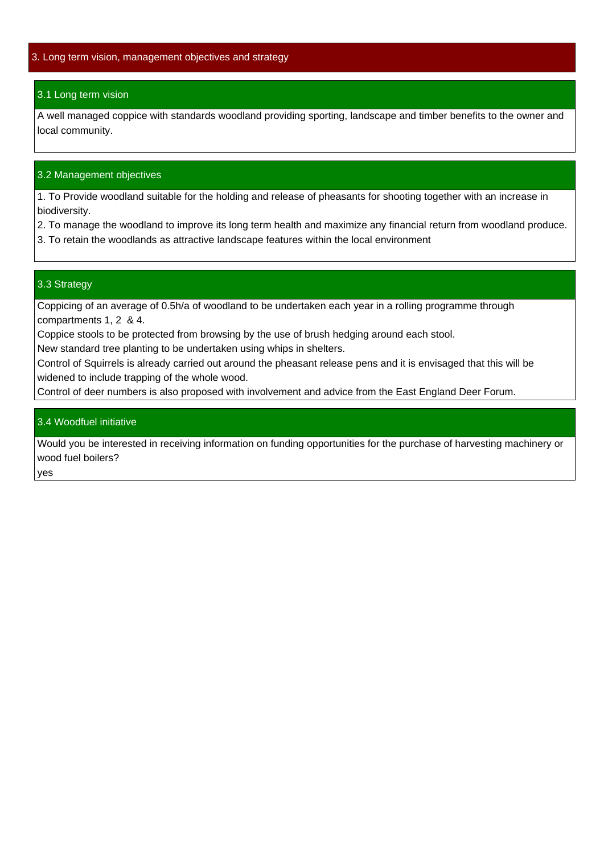#### 3.1 Long term vision

A well managed coppice with standards woodland providing sporting, landscape and timber benefits to the owner and local community.

#### 3.2 Management objectives

1. To Provide woodland suitable for the holding and release of pheasants for shooting together with an increase in biodiversity.

- 2. To manage the woodland to improve its long term health and maximize any financial return from woodland produce.
- 3. To retain the woodlands as attractive landscape features within the local environment

#### 3.3 Strategy

Coppicing of an average of 0.5h/a of woodland to be undertaken each year in a rolling programme through compartments 1, 2 & 4.

Coppice stools to be protected from browsing by the use of brush hedging around each stool.

New standard tree planting to be undertaken using whips in shelters.

Control of Squirrels is already carried out around the pheasant release pens and it is envisaged that this will be widened to include trapping of the whole wood.

Control of deer numbers is also proposed with involvement and advice from the East England Deer Forum.

#### 3.4 Woodfuel initiative

Would you be interested in receiving information on funding opportunities for the purchase of harvesting machinery or wood fuel boilers?

yes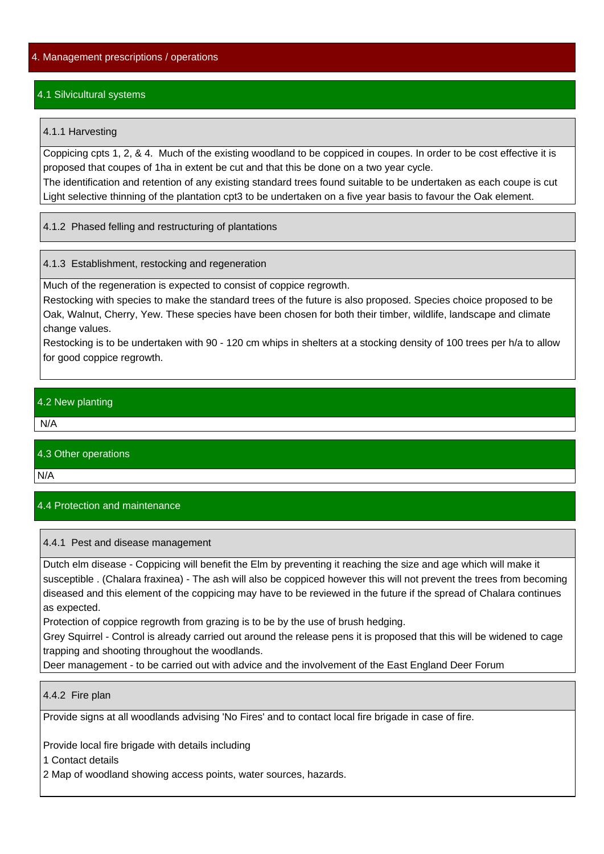#### 4.1 Silvicultural systems

#### 4.1.1 Harvesting

Coppicing cpts 1, 2, & 4. Much of the existing woodland to be coppiced in coupes. In order to be cost effective it is proposed that coupes of 1ha in extent be cut and that this be done on a two year cycle.

The identification and retention of any existing standard trees found suitable to be undertaken as each coupe is cut Light selective thinning of the plantation cpt3 to be undertaken on a five year basis to favour the Oak element.

4.1.2 Phased felling and restructuring of plantations

4.1.3 Establishment, restocking and regeneration

Much of the regeneration is expected to consist of coppice regrowth.

Restocking with species to make the standard trees of the future is also proposed. Species choice proposed to be Oak, Walnut, Cherry, Yew. These species have been chosen for both their timber, wildlife, landscape and climate change values.

Restocking is to be undertaken with 90 - 120 cm whips in shelters at a stocking density of 100 trees per h/a to allow for good coppice regrowth.

#### 4.2 New planting

N/A

#### 4.3 Other operations

N/A

#### 4.4 Protection and maintenance

#### 4.4.1 Pest and disease management

Dutch elm disease - Coppicing will benefit the Elm by preventing it reaching the size and age which will make it susceptible . (Chalara fraxinea) - The ash will also be coppiced however this will not prevent the trees from becoming diseased and this element of the coppicing may have to be reviewed in the future if the spread of Chalara continues as expected.

Protection of coppice regrowth from grazing is to be by the use of brush hedging.

Grey Squirrel - Control is already carried out around the release pens it is proposed that this will be widened to cage trapping and shooting throughout the woodlands.

Deer management - to be carried out with advice and the involvement of the East England Deer Forum

#### 4.4.2 Fire plan

Provide signs at all woodlands advising 'No Fires' and to contact local fire brigade in case of fire.

Provide local fire brigade with details including

1 Contact details

2 Map of woodland showing access points, water sources, hazards.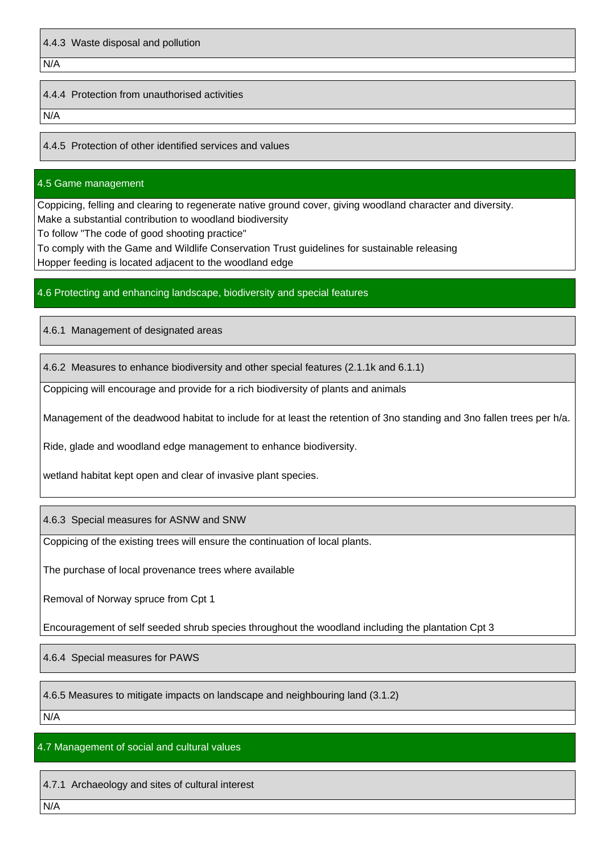N/A

#### 4.4.4 Protection from unauthorised activities

N/A

4.4.5 Protection of other identified services and values

#### 4.5 Game management

Coppicing, felling and clearing to regenerate native ground cover, giving woodland character and diversity. Make a substantial contribution to woodland biodiversity

To follow "The code of good shooting practice"

To comply with the Game and Wildlife Conservation Trust guidelines for sustainable releasing Hopper feeding is located adjacent to the woodland edge

#### 4.6 Protecting and enhancing landscape, biodiversity and special features

4.6.1 Management of designated areas

4.6.2 Measures to enhance biodiversity and other special features (2.1.1k and 6.1.1)

Coppicing will encourage and provide for a rich biodiversity of plants and animals

Management of the deadwood habitat to include for at least the retention of 3no standing and 3no fallen trees per h/a.

Ride, glade and woodland edge management to enhance biodiversity.

wetland habitat kept open and clear of invasive plant species.

4.6.3 Special measures for ASNW and SNW

Coppicing of the existing trees will ensure the continuation of local plants.

The purchase of local provenance trees where available

Removal of Norway spruce from Cpt 1

Encouragement of self seeded shrub species throughout the woodland including the plantation Cpt 3

4.6.4 Special measures for PAWS

4.6.5 Measures to mitigate impacts on landscape and neighbouring land (3.1.2)

 $N/A$ 

#### 4.7 Management of social and cultural values

4.7.1 Archaeology and sites of cultural interest

N/A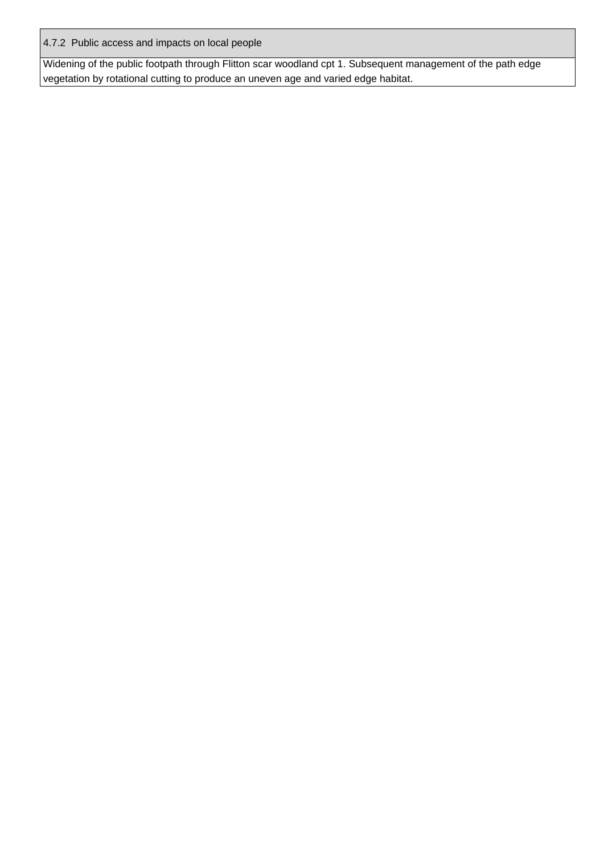4.7.2 Public access and impacts on local people

Widening of the public footpath through Flitton scar woodland cpt 1. Subsequent management of the path edge vegetation by rotational cutting to produce an uneven age and varied edge habitat.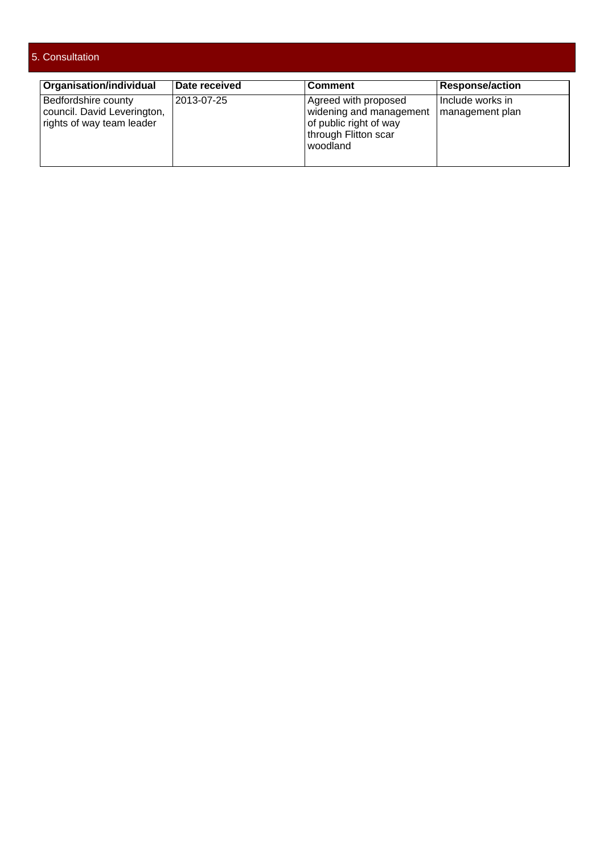#### 5. Consultation

| Organisation/individual                                                         | <b>Date received</b> | <b>Comment</b>                                                                                                | Response/action                      |
|---------------------------------------------------------------------------------|----------------------|---------------------------------------------------------------------------------------------------------------|--------------------------------------|
| Bedfordshire county<br>council. David Leverington,<br>rights of way team leader | 2013-07-25           | Agreed with proposed<br>widening and management<br>of public right of way<br>through Flitton scar<br>woodland | ⊦Include works in<br>management plan |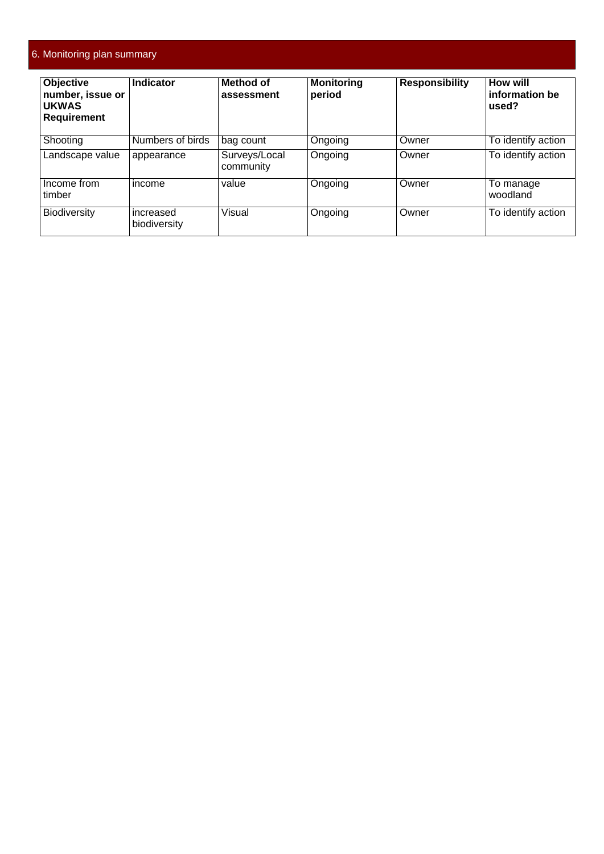| <b>Objective</b><br>number, issue or<br><b>UKWAS</b><br><b>Requirement</b> | <b>Indicator</b>          | Method of<br>assessment    | <b>Monitoring</b><br>period | <b>Responsibility</b> | <b>How will</b><br>information be<br>used? |
|----------------------------------------------------------------------------|---------------------------|----------------------------|-----------------------------|-----------------------|--------------------------------------------|
| Shooting                                                                   | Numbers of birds          | bag count                  | Ongoing                     | Owner                 | To identify action                         |
| Landscape value                                                            | appearance                | Surveys/Local<br>community | Ongoing                     | Owner                 | To identify action                         |
| Income from<br>timber                                                      | income                    | value                      | Ongoing                     | Owner                 | To manage<br>woodland                      |
| <b>Biodiversity</b>                                                        | increased<br>biodiversity | Visual                     | Ongoing                     | Owner                 | To identify action                         |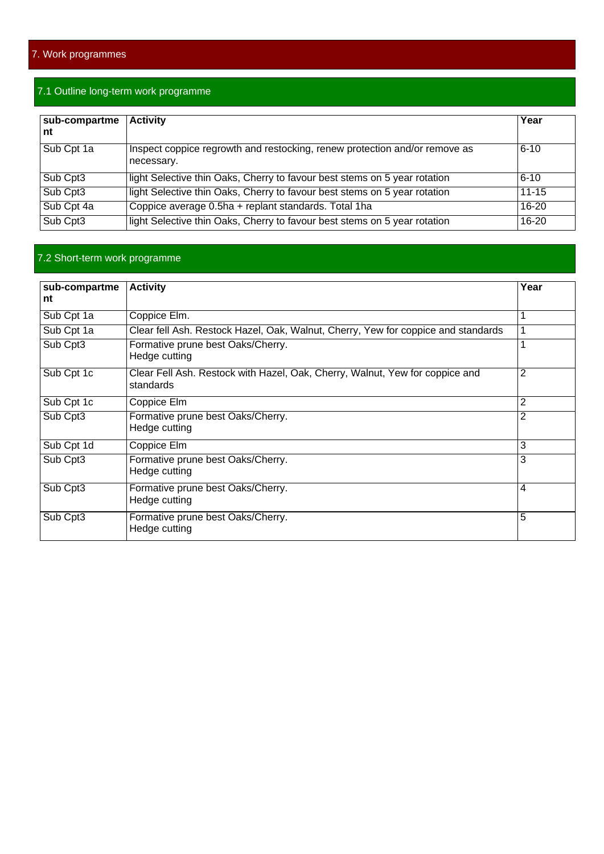### 7.1 Outline long-term work programme

| sub-compartme<br>nt | <b>Activity</b>                                                                          | Year      |
|---------------------|------------------------------------------------------------------------------------------|-----------|
| Sub Cpt 1a          | Inspect coppice regrowth and restocking, renew protection and/or remove as<br>necessary. | $6 - 10$  |
| Sub Cpt3            | light Selective thin Oaks, Cherry to favour best stems on 5 year rotation                | $6 - 10$  |
| Sub Cpt3            | light Selective thin Oaks, Cherry to favour best stems on 5 year rotation                | $11 - 15$ |
| Sub Cpt 4a          | Coppice average 0.5ha + replant standards. Total 1ha                                     | $16 - 20$ |
| Sub Cpt3            | light Selective thin Oaks, Cherry to favour best stems on 5 year rotation                | 16-20     |

#### 7.2 Short-term work programme

| sub-compartme<br>nt | <b>Activity</b>                                                                           | Year           |
|---------------------|-------------------------------------------------------------------------------------------|----------------|
| Sub Cpt 1a          | Coppice Elm.                                                                              |                |
| Sub Cpt 1a          | Clear fell Ash. Restock Hazel, Oak, Walnut, Cherry, Yew for coppice and standards         |                |
| Sub Cpt3            | Formative prune best Oaks/Cherry.<br>Hedge cutting                                        |                |
| Sub Cpt 1c          | Clear Fell Ash. Restock with Hazel, Oak, Cherry, Walnut, Yew for coppice and<br>standards | 2              |
| Sub Cpt 1c          | Coppice Elm                                                                               | $\overline{2}$ |
| Sub Cpt3            | Formative prune best Oaks/Cherry.<br>Hedge cutting                                        | 2              |
| Sub Cpt 1d          | Coppice Elm                                                                               | 3              |
| Sub Cpt3            | Formative prune best Oaks/Cherry.<br>Hedge cutting                                        | 3              |
| Sub Cpt3            | Formative prune best Oaks/Cherry.<br>Hedge cutting                                        | 4              |
| Sub Cpt3            | Formative prune best Oaks/Cherry.<br>Hedge cutting                                        | 5              |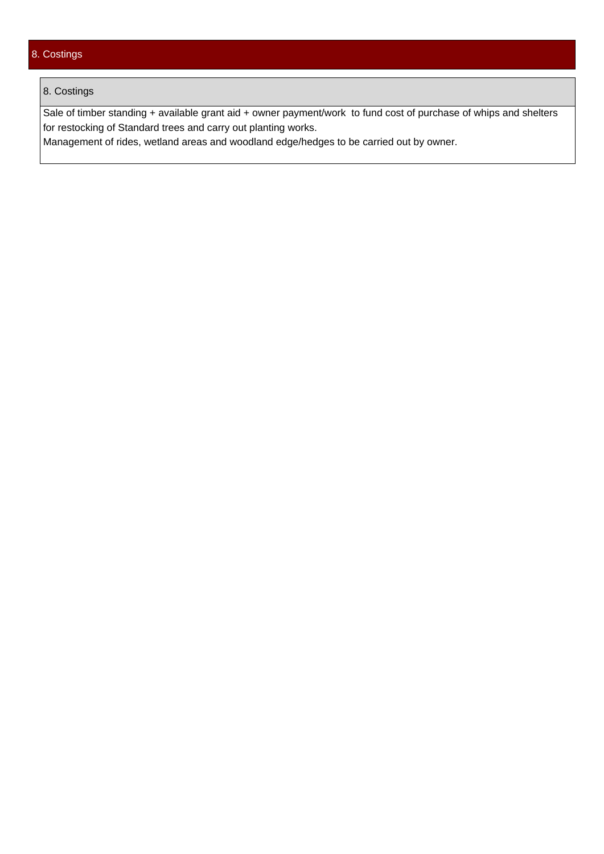#### 8. Costings

#### 8. Costings

Sale of timber standing + available grant aid + owner payment/work to fund cost of purchase of whips and shelters for restocking of Standard trees and carry out planting works.

Management of rides, wetland areas and woodland edge/hedges to be carried out by owner.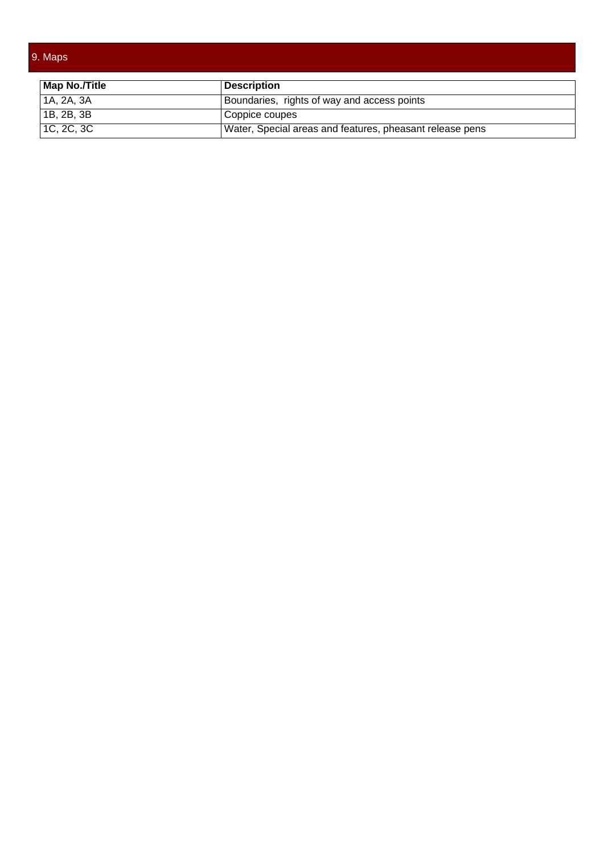### 9. Maps

| Map No./Title      | ∣ Description                                            |
|--------------------|----------------------------------------------------------|
| $ $ 1A, 2A, 3A     | Boundaries, rights of way and access points              |
| $ $ 1B, 2B, 3B     | Coppice coupes                                           |
| $\vert$ 1C, 2C, 3C | Water, Special areas and features, pheasant release pens |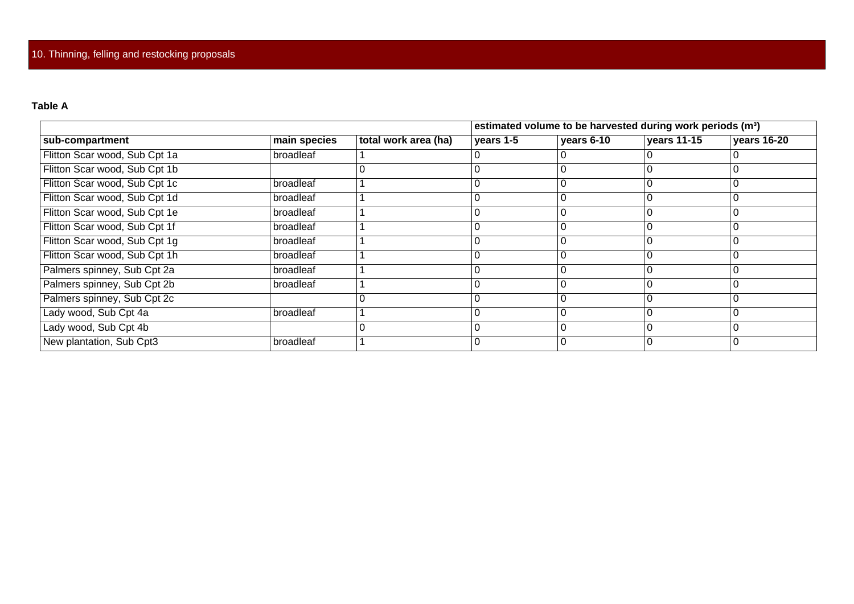#### **Table A**

|                               |              |                      |           | estimated volume to be harvested during work periods (m <sup>3</sup> ) |             |             |
|-------------------------------|--------------|----------------------|-----------|------------------------------------------------------------------------|-------------|-------------|
| sub-compartment               | main species | total work area (ha) | years 1-5 | years 6-10                                                             | years 11-15 | years 16-20 |
| Flitton Scar wood, Sub Cpt 1a | broadleaf    |                      |           |                                                                        |             |             |
| Flitton Scar wood, Sub Cpt 1b |              |                      | 0         |                                                                        | U           |             |
| Flitton Scar wood, Sub Cpt 1c | broadleaf    |                      |           |                                                                        |             |             |
| Flitton Scar wood, Sub Cpt 1d | broadleaf    |                      |           |                                                                        |             |             |
| Flitton Scar wood, Sub Cpt 1e | broadleaf    |                      | 0         |                                                                        |             |             |
| Flitton Scar wood, Sub Cpt 1f | broadleaf    |                      |           |                                                                        |             |             |
| Flitton Scar wood, Sub Cpt 1g | broadleaf    |                      |           |                                                                        |             |             |
| Flitton Scar wood, Sub Cpt 1h | broadleaf    |                      | 0         |                                                                        |             |             |
| Palmers spinney, Sub Cpt 2a   | broadleaf    |                      | ი         |                                                                        |             |             |
| Palmers spinney, Sub Cpt 2b   | broadleaf    |                      |           |                                                                        |             |             |
| Palmers spinney, Sub Cpt 2c   |              |                      | 0         |                                                                        |             |             |
| Lady wood, Sub Cpt 4a         | broadleaf    |                      | ი         |                                                                        |             |             |
| Lady wood, Sub Cpt 4b         |              |                      |           |                                                                        |             |             |
| New plantation, Sub Cpt3      | broadleaf    |                      | 0         |                                                                        | C           |             |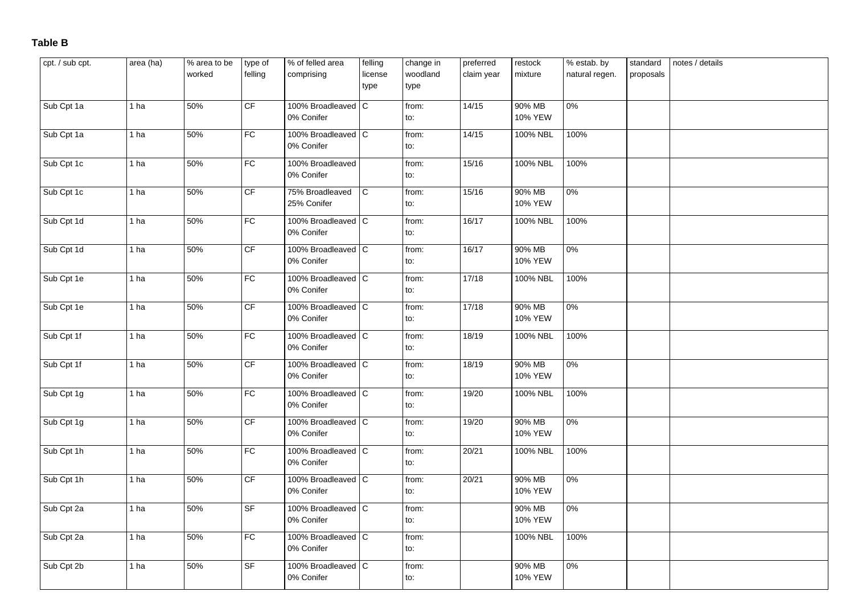#### **Table B**

| cpt. / sub cpt. | area (ha)       | % area to be<br>worked | type of<br>felling                | % of felled area<br>comprising     | felling<br>license<br>type | change in<br>woodland<br>type | preferred<br>claim year | restock<br>mixture | % estab. by<br>natural regen. | standard<br>proposals | notes / details |
|-----------------|-----------------|------------------------|-----------------------------------|------------------------------------|----------------------------|-------------------------------|-------------------------|--------------------|-------------------------------|-----------------------|-----------------|
| Sub Cpt 1a      | 1 ha            | 50%                    | CF                                | 100% Broadleaved   C<br>0% Conifer |                            | from:<br>to:                  | 14/15                   | 90% MB<br>10% YEW  | 0%                            |                       |                 |
| Sub Cpt 1a      | 1 ha            | 50%                    | FC                                | 100% Broadleaved C<br>0% Conifer   |                            | from:<br>to:                  | 14/15                   | 100% NBL           | 100%                          |                       |                 |
| Sub Cpt 1c      | 1 <sub>ha</sub> | 50%                    | FC                                | 100% Broadleaved<br>0% Conifer     |                            | from:<br>to:                  | 15/16                   | 100% NBL           | 100%                          |                       |                 |
| Sub Cpt 1c      | 1 ha            | 50%                    | CF                                | 75% Broadleaved<br>25% Conifer     | $\overline{C}$             | from:<br>to:                  | 15/16                   | 90% MB<br>10% YEW  | $0\%$                         |                       |                 |
| Sub Cpt 1d      | 1 ha            | 50%                    | FC                                | 100% Broadleaved C<br>0% Conifer   |                            | from:<br>to:                  | 16/17                   | 100% NBL           | 100%                          |                       |                 |
| Sub Cpt 1d      | 1 <sub>ha</sub> | 50%                    | CF                                | 100% Broadleaved   C<br>0% Conifer |                            | from:<br>to:                  | 16/17                   | 90% MB<br>10% YEW  | $0\%$                         |                       |                 |
| Sub Cpt 1e      | 1 ha            | 50%                    | FC                                | 100% Broadleaved C<br>0% Conifer   |                            | from:<br>to:                  | 17/18                   | 100% NBL           | 100%                          |                       |                 |
| Sub Cpt 1e      | 1 ha            | 50%                    | CF                                | 100% Broadleaved C<br>0% Conifer   |                            | from:<br>to:                  | 17/18                   | 90% MB<br>10% YEW  | $0\%$                         |                       |                 |
| Sub Cpt 1f      | 1 ha            | 50%                    | FC                                | 100% Broadleaved C<br>0% Conifer   |                            | from:<br>to:                  | 18/19                   | 100% NBL           | 100%                          |                       |                 |
| Sub Cpt 1f      | 1 ha            | 50%                    | CF                                | 100% Broadleaved C<br>0% Conifer   |                            | from:<br>to:                  | 18/19                   | 90% MB<br>10% YEW  | $0\%$                         |                       |                 |
| Sub Cpt 1g      | 1 ha            | 50%                    | FC                                | 100% Broadleaved C<br>0% Conifer   |                            | from:<br>to:                  | 19/20                   | 100% NBL           | 100%                          |                       |                 |
| Sub Cpt 1g      | 1 ha            | 50%                    | CF                                | 100% Broadleaved C<br>0% Conifer   |                            | from:<br>to:                  | 19/20                   | 90% MB<br>10% YEW  | $0\%$                         |                       |                 |
| Sub Cpt 1h      | 1 ha            | 50%                    | FC                                | 100% Broadleaved C<br>0% Conifer   |                            | from:<br>to:                  | 20/21                   | 100% NBL           | 100%                          |                       |                 |
| Sub Cpt 1h      | 1 ha            | 50%                    | CF                                | 100% Broadleaved   C<br>0% Conifer |                            | from:<br>to:                  | 20/21                   | 90% MB<br>10% YEW  | 0%                            |                       |                 |
| Sub Cpt 2a      | 1 ha            | 50%                    | $\overline{\mathsf{S}\mathsf{F}}$ | 100% Broadleaved C<br>0% Conifer   |                            | from:<br>to:                  |                         | 90% MB<br>10% YEW  | $0\%$                         |                       |                 |
| Sub Cpt 2a      | 1 <sub>ha</sub> | 50%                    | FC                                | 100% Broadleaved C<br>0% Conifer   |                            | from:<br>to:                  |                         | 100% NBL           | 100%                          |                       |                 |
| Sub Cpt 2b      | 1 ha            | 50%                    | <b>SF</b>                         | 100% Broadleaved   C<br>0% Conifer |                            | from:<br>to:                  |                         | 90% MB<br>10% YEW  | $0\%$                         |                       |                 |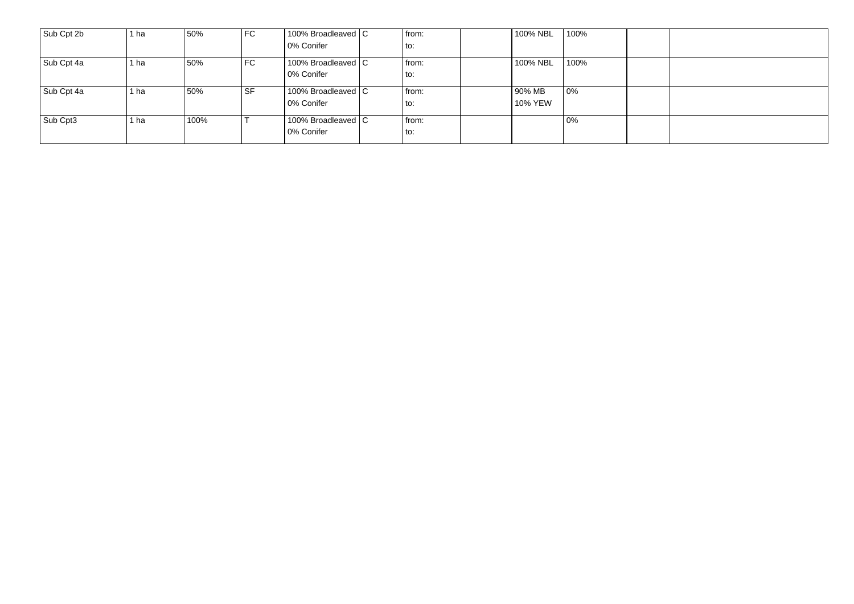| Sub Cpt 2b | 1 ha | 50%  | FC   | 100% Broadleaved C | from: | 100% NBL | 100% |  |
|------------|------|------|------|--------------------|-------|----------|------|--|
|            |      |      |      | 0% Conifer         | to:   |          |      |  |
| Sub Cpt 4a | 1 ha | 50%  | FC.  | 100% Broadleaved C | from: | 100% NBL | 100% |  |
|            |      |      |      | 0% Conifer         | ' to∶ |          |      |  |
| Sub Cpt 4a | 1 ha | 50%  | l SF | 100% Broadleaved C | from: | 90% MB   | 0%   |  |
|            |      |      |      | 10% Conifer        | ' to∶ | 10% YEW  |      |  |
| Sub Cpt3   | 1 ha | 100% |      | 100% Broadleaved C | from: |          | 0%   |  |
|            |      |      |      | 0% Conifer         | to:   |          |      |  |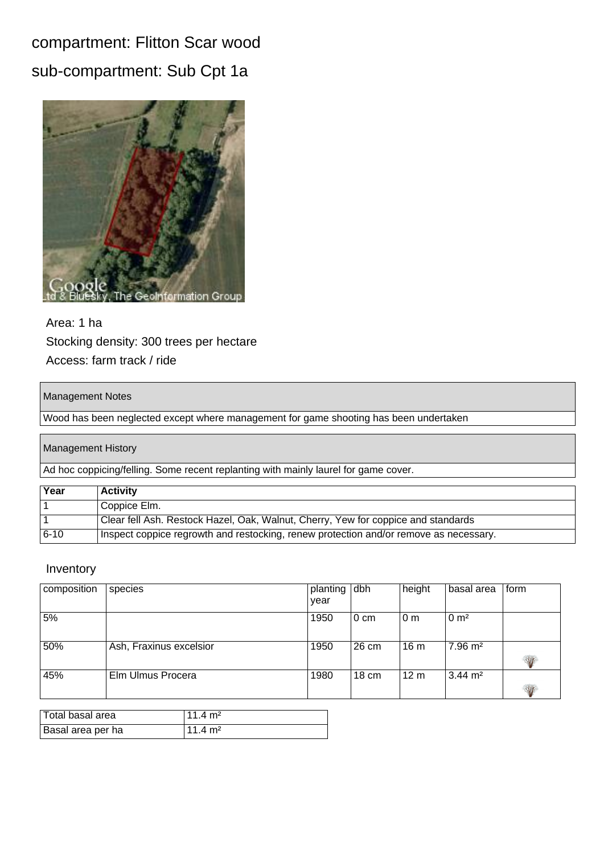## compartment: Flitton Scar wood sub-compartment: Sub Cpt 1a



### Area: 1 ha Stocking density: 300 trees per hectare Access: farm track / ride

#### Management Notes

Wood has been neglected except where management for game shooting has been undertaken

#### Management History

Ad hoc coppicing/felling. Some recent replanting with mainly laurel for game cover.

| Year     | <b>Activity</b>                                                                       |
|----------|---------------------------------------------------------------------------------------|
|          | Coppice Elm.                                                                          |
|          | Clear fell Ash. Restock Hazel, Oak, Walnut, Cherry, Yew for coppice and standards     |
| $6 - 10$ | Inspect coppice regrowth and restocking, renew protection and/or remove as necessary. |

| composition | species                 | planting dbh<br>year |        | height          | basal area         | form |
|-------------|-------------------------|----------------------|--------|-----------------|--------------------|------|
| 5%          |                         | 1950                 | l 0 cm | 0 <sub>m</sub>  | 0 m <sup>2</sup>   |      |
| 50%         | Ash, Fraxinus excelsior | 1950                 | 26 cm  | 16 <sub>m</sub> | $7.96 \text{ m}^2$ | W    |
| 45%         | Elm Ulmus Procera       | 1980                 | 18 cm  | 12 <sub>m</sub> | $3.44 \text{ m}^2$ | W    |

| Total basal area  | l 11 4 m <sup>2</sup> |
|-------------------|-----------------------|
| Basal area per ha | $1114 \text{ m}^2$    |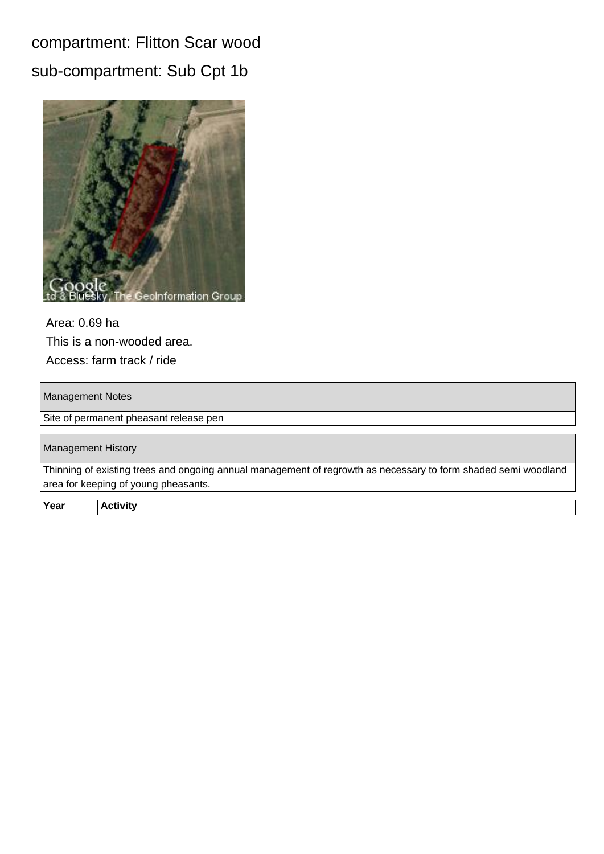## compartment: Flitton Scar wood sub-compartment: Sub Cpt 1b



Area: 0.69 ha This is a non-wooded area. Access: farm track / ride

#### Management Notes

Site of permanent pheasant release pen

| Management History                                                                                             |
|----------------------------------------------------------------------------------------------------------------|
| Thinning of existing trees and ongoing annual management of regrowth as necessary to form shaded semi woodland |
| area for keeping of young pheasants.                                                                           |
|                                                                                                                |

**Year Activity**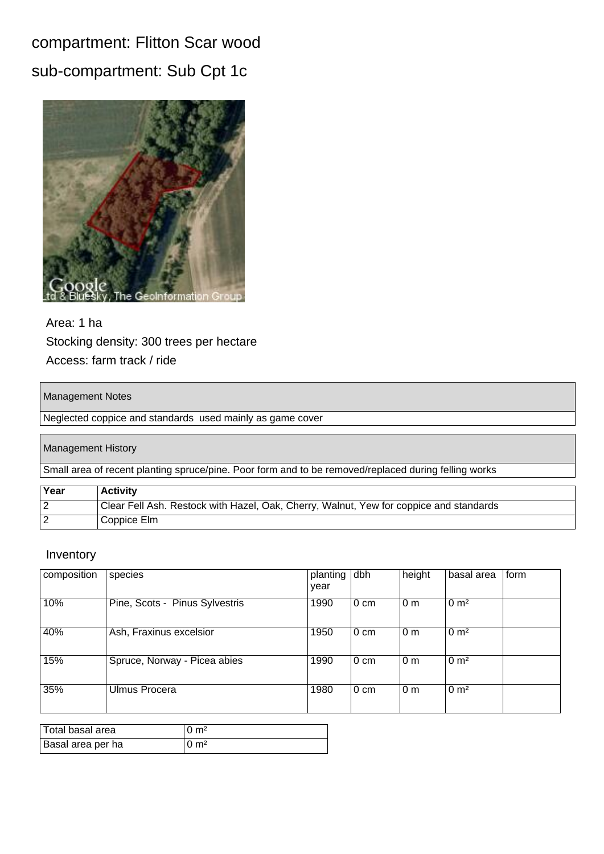## compartment: Flitton Scar wood sub-compartment: Sub Cpt 1c



### Area: 1 ha Stocking density: 300 trees per hectare Access: farm track / ride

#### Management Notes

Neglected coppice and standards used mainly as game cover

#### Management History

Small area of recent planting spruce/pine. Poor form and to be removed/replaced during felling works

| Year | <b>Activity</b>                                                                        |
|------|----------------------------------------------------------------------------------------|
|      | Clear Fell Ash. Restock with Hazel, Oak, Cherry, Walnut, Yew for coppice and standards |
|      | Coppice Elm                                                                            |

| composition | species                        | planting<br>year | dbh    | height           | basal area       | form |
|-------------|--------------------------------|------------------|--------|------------------|------------------|------|
| 10%         | Pine, Scots - Pinus Sylvestris | 1990             | l 0 cm | 10 <sub>m</sub>  | 0 m <sup>2</sup> |      |
| 40%         | Ash, Fraxinus excelsior        | 1950             | l 0 cm | $\overline{0}$ m | 0 m <sup>2</sup> |      |
| 15%         | Spruce, Norway - Picea abies   | 1990             | l 0 cm | l 0 m            | 0 m <sup>2</sup> |      |
| 35%         | Ulmus Procera                  | 1980             | l 0 cm | $\overline{0}$ m | $0 \text{ m}^2$  |      |

| Total basal area  | $0 \; \mathrm{m}^2$ |
|-------------------|---------------------|
| Basal area per ha | $0 \; \mathrm{m}^2$ |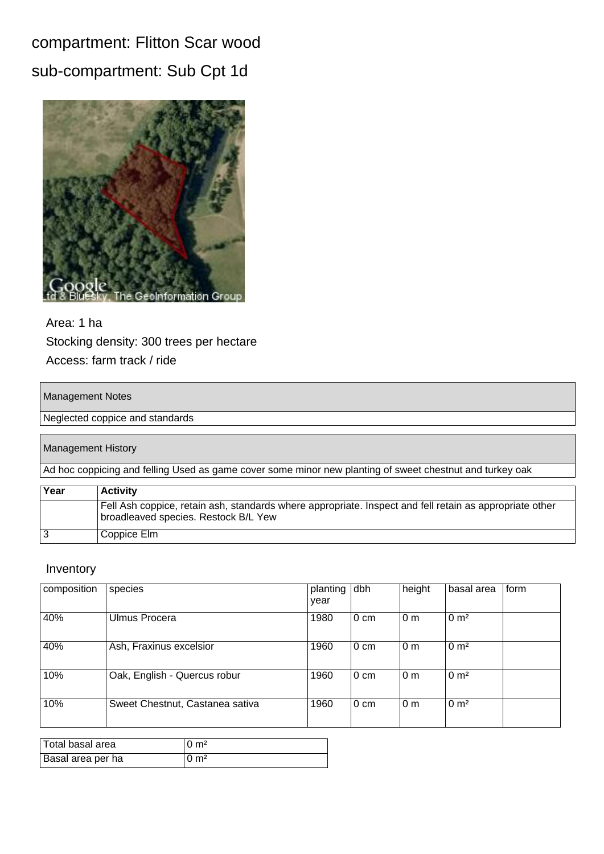## compartment: Flitton Scar wood sub-compartment: Sub Cpt 1d



### Area: 1 ha Stocking density: 300 trees per hectare Access: farm track / ride

#### Management Notes

Neglected coppice and standards

#### Management History

Ad hoc coppicing and felling Used as game cover some minor new planting of sweet chestnut and turkey oak

| Year | <b>Activity</b>                                                                                                                                 |
|------|-------------------------------------------------------------------------------------------------------------------------------------------------|
|      | Fell Ash coppice, retain ash, standards where appropriate. Inspect and fell retain as appropriate other<br>broadleaved species. Restock B/L Yew |
|      | Coppice Elm                                                                                                                                     |

| composition | species                         | planting<br>year | dbh            | height           | basal area       | form |
|-------------|---------------------------------|------------------|----------------|------------------|------------------|------|
| 40%         | Ulmus Procera                   | 1980             | l 0 cm         | 0 <sub>m</sub>   | $0 \text{ m}^2$  |      |
| 40%         | Ash, Fraxinus excelsior         | 1960             | l 0 cm         | $\overline{0}$ m | 0 m <sup>2</sup> |      |
| 10%         | Oak, English - Quercus robur    | 1960             | l 0 cm         | $ 0 \text{ m}$   | 0 m <sup>2</sup> |      |
| 10%         | Sweet Chestnut, Castanea sativa | 1960             | $0 \text{ cm}$ | 0 <sub>m</sub>   | $0 \text{ m}^2$  |      |

| Total basal area  | $\cup$ m <sup>2</sup> |
|-------------------|-----------------------|
| Basal area per ha | 0 m <sup>2</sup>      |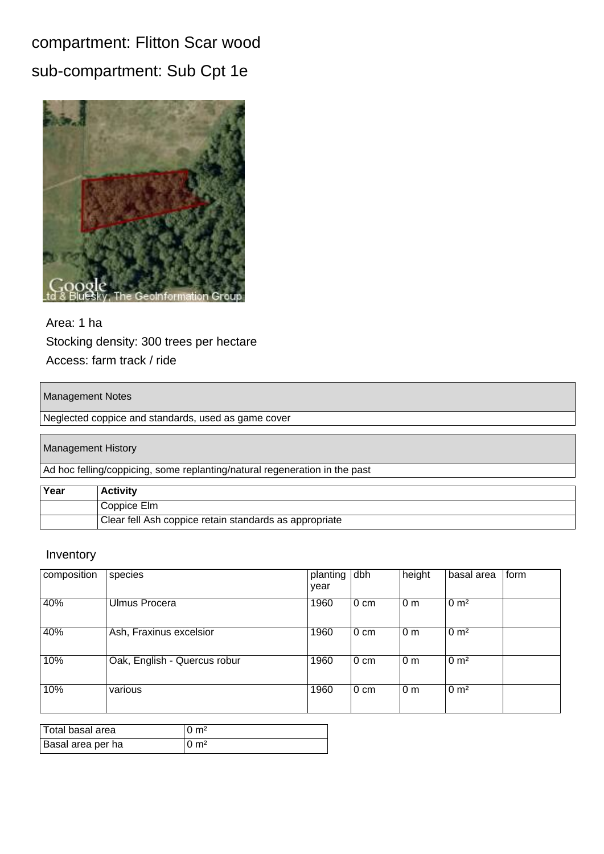## compartment: Flitton Scar wood sub-compartment: Sub Cpt 1e



### Area: 1 ha Stocking density: 300 trees per hectare Access: farm track / ride

#### Management Notes

Neglected coppice and standards, used as game cover

#### Management History

Ad hoc felling/coppicing, some replanting/natural regeneration in the past

| Year | <b>Activity</b>                                        |
|------|--------------------------------------------------------|
|      | Coppice Elm                                            |
|      | Clear fell Ash coppice retain standards as appropriate |

| composition | species                      | planting<br>year | dbh    | height           | basal area       | form |
|-------------|------------------------------|------------------|--------|------------------|------------------|------|
| 40%         | Ulmus Procera                | 1960             | l 0 cm | 0 <sub>m</sub>   | 0 m <sup>2</sup> |      |
| 40%         | Ash, Fraxinus excelsior      | 1960             | l 0 cm | 0 <sub>m</sub>   | $0 \text{ m}^2$  |      |
| 10%         | Oak, English - Quercus robur | 1960             | l 0 cm | $\overline{0}$ m | 0 m <sup>2</sup> |      |
| 10%         | various                      | 1960             | l 0 cm | $ 0 \text{ m}$   | 0 m <sup>2</sup> |      |

| Total basal area  | $0 \; \mathrm{m}^2$ |
|-------------------|---------------------|
| Basal area per ha | $0 \; \mathrm{m}^2$ |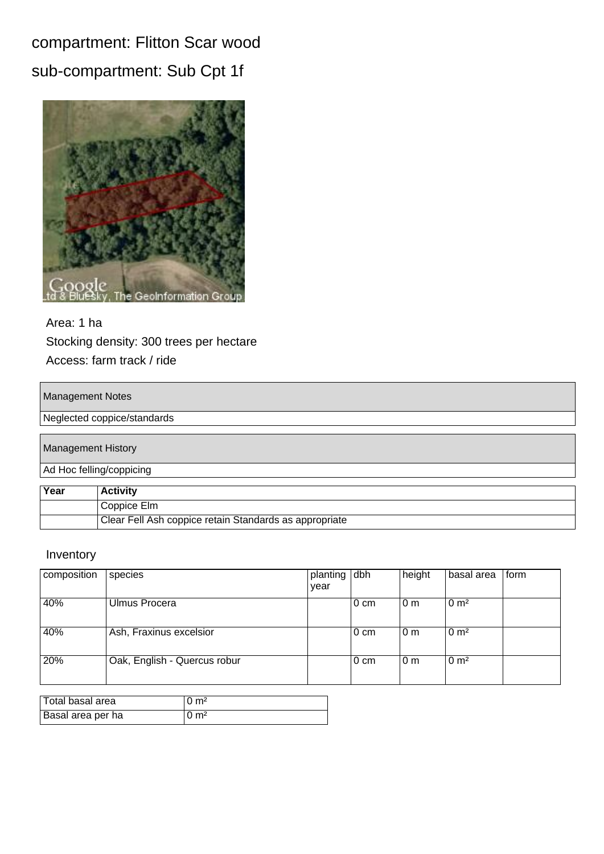## compartment: Flitton Scar wood sub-compartment: Sub Cpt 1f



### Area: 1 ha Stocking density: 300 trees per hectare Access: farm track / ride

#### Management Notes

#### Neglected coppice/standards

|      | <b>Management History</b>                              |
|------|--------------------------------------------------------|
|      | Ad Hoc felling/coppicing                               |
|      |                                                        |
| Year | <b>Activity</b>                                        |
|      | Coppice Elm                                            |
|      | Clear Fell Ash coppice retain Standards as appropriate |

| composition | species                      | planting dbh<br>year |                  | height | basal area       | l form |
|-------------|------------------------------|----------------------|------------------|--------|------------------|--------|
| 40%         | Ulmus Procera                |                      | $0 \text{ cm}$   | l 0 m  | 0 m <sup>2</sup> |        |
| 40%         | Ash, Fraxinus excelsior      |                      | $0 \text{ cm}$   | l 0 m  | 0 m <sup>2</sup> |        |
| 20%         | Oak, English - Quercus robur |                      | $0 \, \text{cm}$ | l 0 m  | $0 \text{ m}^2$  |        |

| Total basal area  | $10 \text{ m}^2$ |
|-------------------|------------------|
| Basal area per ha | $10 \text{ m}^2$ |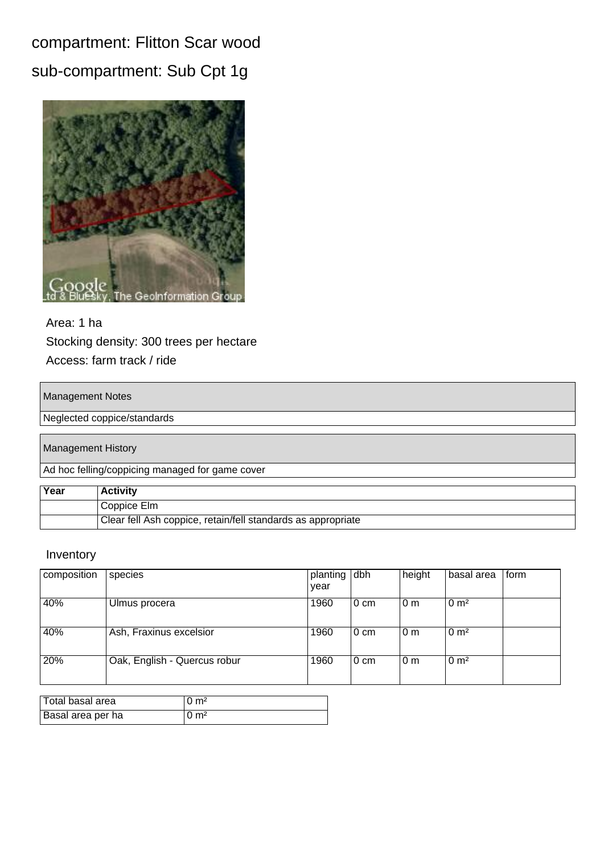## compartment: Flitton Scar wood sub-compartment: Sub Cpt 1g



### Area: 1 ha Stocking density: 300 trees per hectare Access: farm track / ride

#### Management Notes

#### Neglected coppice/standards

#### Management History

Ad hoc felling/coppicing managed for game cover

| Year | ∣Activity                                                    |
|------|--------------------------------------------------------------|
|      | Coppice Elm                                                  |
|      | Clear fell Ash coppice, retain/fell standards as appropriate |

| composition | species                      | planting dbh |                | height         | basal area       | l form |
|-------------|------------------------------|--------------|----------------|----------------|------------------|--------|
|             |                              | year         |                |                |                  |        |
| 40%         | Ulmus procera                | 1960         | $0 \text{ cm}$ | 0 <sub>m</sub> | 0 m <sup>2</sup> |        |
| 40%         | Ash, Fraxinus excelsior      | 1960         | $0 \text{ cm}$ | 0 <sub>m</sub> | 0 m <sup>2</sup> |        |
| 20%         | Oak, English - Quercus robur | 1960         | $0 \text{ cm}$ | 0 <sub>m</sub> | 0 m <sup>2</sup> |        |

| Total basal area  | $10 \text{ m}^2$ |
|-------------------|------------------|
| Basal area per ha | $10 \text{ m}^2$ |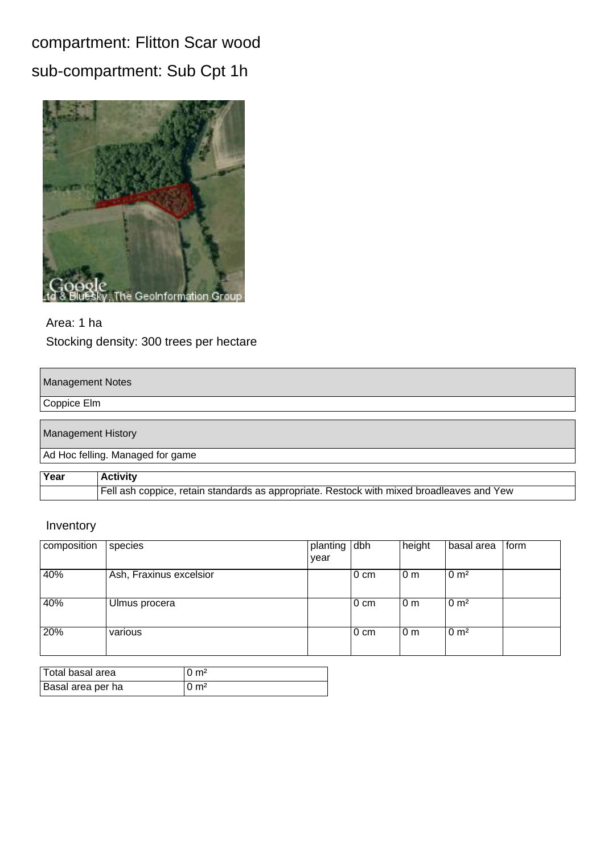## compartment: Flitton Scar wood sub-compartment: Sub Cpt 1h



Area: 1 ha Stocking density: 300 trees per hectare

#### Management Notes

Coppice Elm

Management History

Ad Hoc felling. Managed for game

| Year | <b>Activity</b>                                                                           |
|------|-------------------------------------------------------------------------------------------|
|      | Fell ash coppice, retain standards as appropriate. Restock with mixed broadleaves and Yew |

| composition | species                 | planting dbh |                | height         | basal area       | form |
|-------------|-------------------------|--------------|----------------|----------------|------------------|------|
|             |                         | year         |                |                |                  |      |
| 40%         | Ash, Fraxinus excelsior |              | $0 \text{ cm}$ | 0 <sub>m</sub> | 0 m <sup>2</sup> |      |
| 40%         | Ulmus procera           |              | $0 \text{ cm}$ | 0 <sub>m</sub> | 0 m <sup>2</sup> |      |
| 20%         | various                 |              | $0 \text{ cm}$ | 0 <sub>m</sub> | 0 m <sup>2</sup> |      |

| Total basal area  | $10 \text{ m}^2$ |
|-------------------|------------------|
| Basal area per ha | $10 \text{ m}^2$ |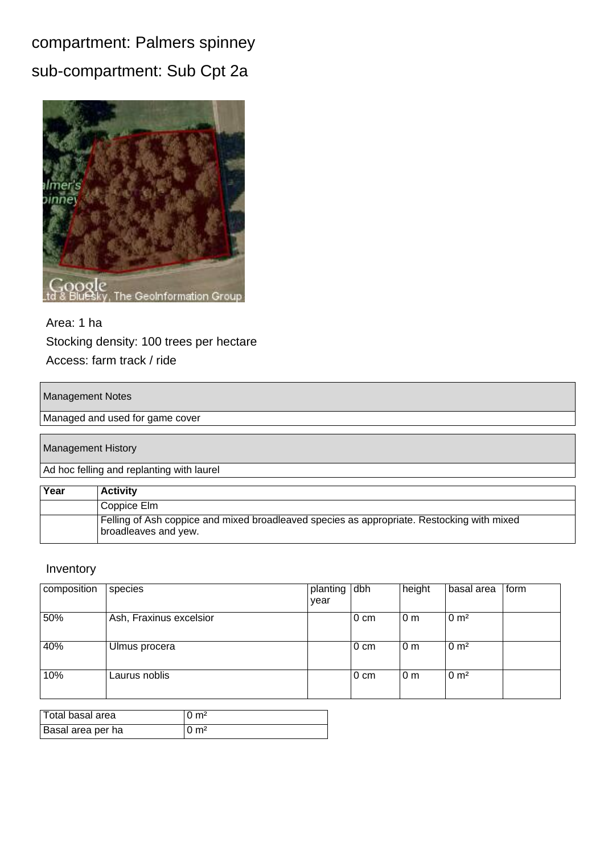compartment: Palmers spinney sub-compartment: Sub Cpt 2a



### Area: 1 ha Stocking density: 100 trees per hectare Access: farm track / ride

#### Management Notes

Managed and used for game cover

Management History

Ad hoc felling and replanting with laurel

| Year | <b>Activity</b>                                                                                                    |
|------|--------------------------------------------------------------------------------------------------------------------|
|      | Coppice Elm                                                                                                        |
|      | Felling of Ash coppice and mixed broadleaved species as appropriate. Restocking with mixed<br>broadleaves and yew. |

| composition | species                 | planting dbh<br>year |                | height | basal area       | form |
|-------------|-------------------------|----------------------|----------------|--------|------------------|------|
| 50%         | Ash, Fraxinus excelsior |                      | $0 \text{ cm}$ | l 0 m  | 0 m <sup>2</sup> |      |
| 40%         | Ulmus procera           |                      | $0 \text{ cm}$ | 10 m   | $0 \text{ m}^2$  |      |
| 10%         | Laurus noblis           |                      | $0 \text{ cm}$ | l 0 m  | $0 \text{ m}^2$  |      |

| Total basal area  | $0 \text{ m}^2$     |
|-------------------|---------------------|
| Basal area per ha | $0 \; \mathrm{m}^2$ |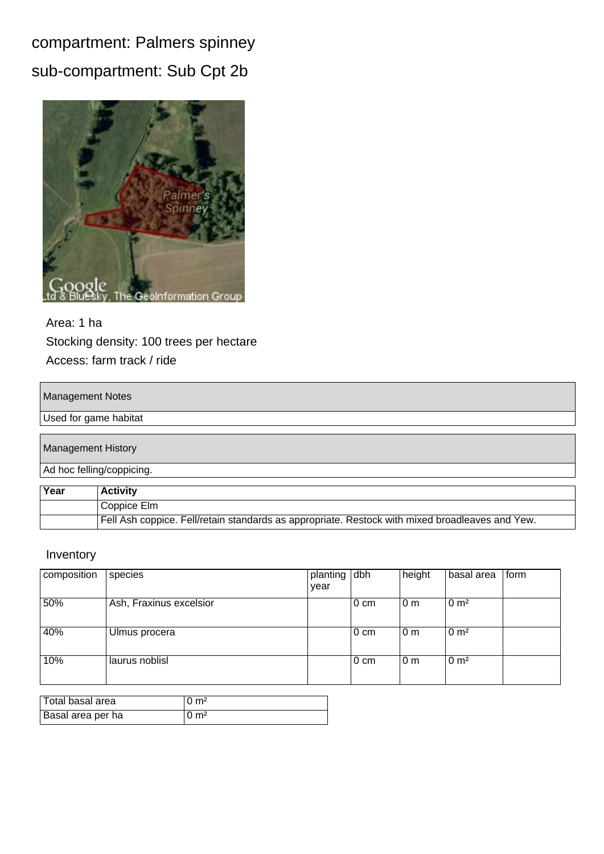## compartment: Palmers spinney sub-compartment: Sub Cpt 2b



### Area: 1 ha Stocking density: 100 trees per hectare Access: farm track / ride

#### Management Notes

#### Used for game habitat

| <b>Management History</b> |                           |
|---------------------------|---------------------------|
|                           | Ad hoc felling/coppicing. |
|                           |                           |
| Year                      | <b>Activity</b>           |
|                           | Coppice Elm               |

| Fell Ash coppice. Fell/retain standards as appropriate. Restock with mixed broadleaves and Yew. |
|-------------------------------------------------------------------------------------------------|

| composition | species                 | planting dbh |                | height | basal area       | form |
|-------------|-------------------------|--------------|----------------|--------|------------------|------|
|             |                         | year         |                |        |                  |      |
| 50%         | Ash, Fraxinus excelsior |              | $0 \text{ cm}$ | l 0 m  | $0 \text{ m}^2$  |      |
| 40%         | Ulmus procera           |              | $0 \text{ cm}$ | l 0 m  | 0 m <sup>2</sup> |      |
| 10%         | laurus noblisl          |              | $0 \text{ cm}$ | l 0 m  | $0 \text{ m}^2$  |      |

| Total basal area  | $10 \text{ m}^2$ |
|-------------------|------------------|
| Basal area per ha | 0 m <sup>2</sup> |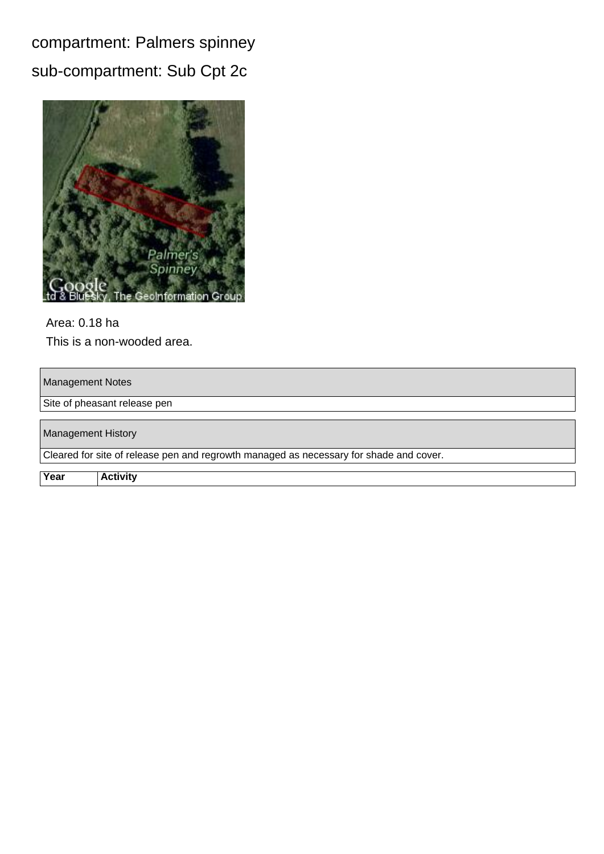compartment: Palmers spinney sub-compartment: Sub Cpt 2c



Area: 0.18 ha This is a non-wooded area.

Management Notes

Site of pheasant release pen

Management History Cleared for site of release pen and regrowth managed as necessary for shade and cover.

**Year Activity**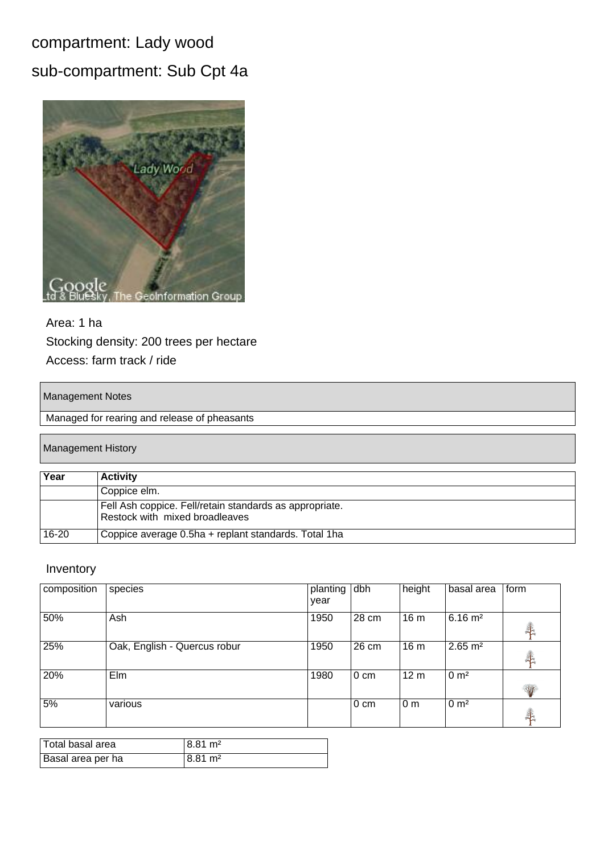## compartment: Lady wood

## sub-compartment: Sub Cpt 4a



### Area: 1 ha Stocking density: 200 trees per hectare Access: farm track / ride

#### Management Notes

Managed for rearing and release of pheasants

#### Management History

| Year  | <b>Activity</b>                                                                           |
|-------|-------------------------------------------------------------------------------------------|
|       | Coppice elm.                                                                              |
|       | Fell Ash coppice. Fell/retain standards as appropriate.<br>Restock with mixed broadleaves |
| 16-20 | Coppice average 0.5ha + replant standards. Total 1ha                                      |

| composition | species                      | planting<br>year | dbh             | height          | basal area         | form                 |
|-------------|------------------------------|------------------|-----------------|-----------------|--------------------|----------------------|
| 50%         | Ash                          | 1950             | 28 cm           | 16 <sub>m</sub> | $6.16 \text{ m}^2$ | 犇                    |
| 25%         | Oak, English - Quercus robur | 1950             | 26 cm           | 16 <sub>m</sub> | $2.65 \text{ m}^2$ | 毒                    |
| 20%         | Elm                          | 1980             | l 0 cm          | 12 <sub>m</sub> | 0 m <sup>2</sup>   | W                    |
| 5%          | various                      |                  | $ 0 \text{ cm}$ | 0 <sub>m</sub>  | 0 m <sup>2</sup>   | $\frac{1}{\sqrt{2}}$ |

| Total basal area  | 18.81 m <sup>2</sup> |
|-------------------|----------------------|
| Basal area per ha | 18.81 m²             |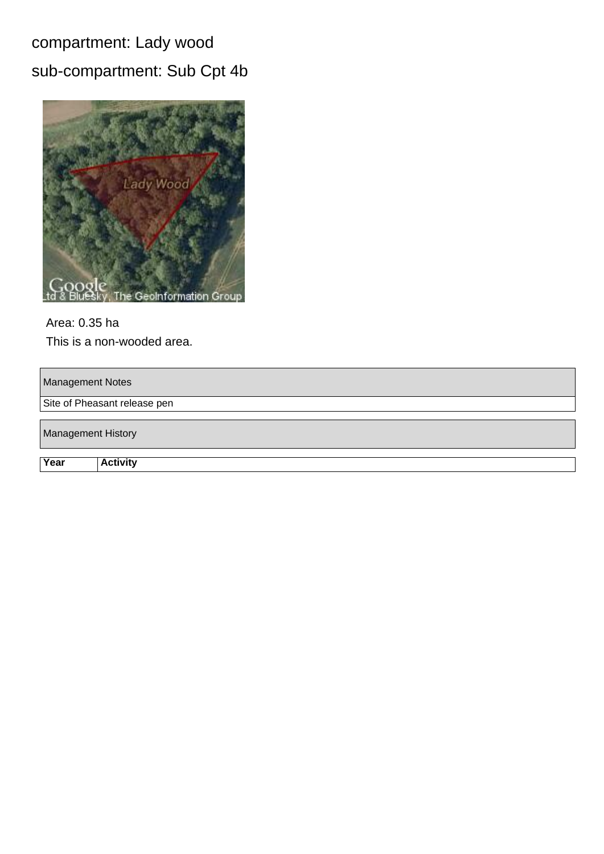## compartment: Lady wood

## sub-compartment: Sub Cpt 4b



## Area: 0.35 ha

This is a non-wooded area.

Management Notes

Site of Pheasant release pen

Management History

**Year Activity**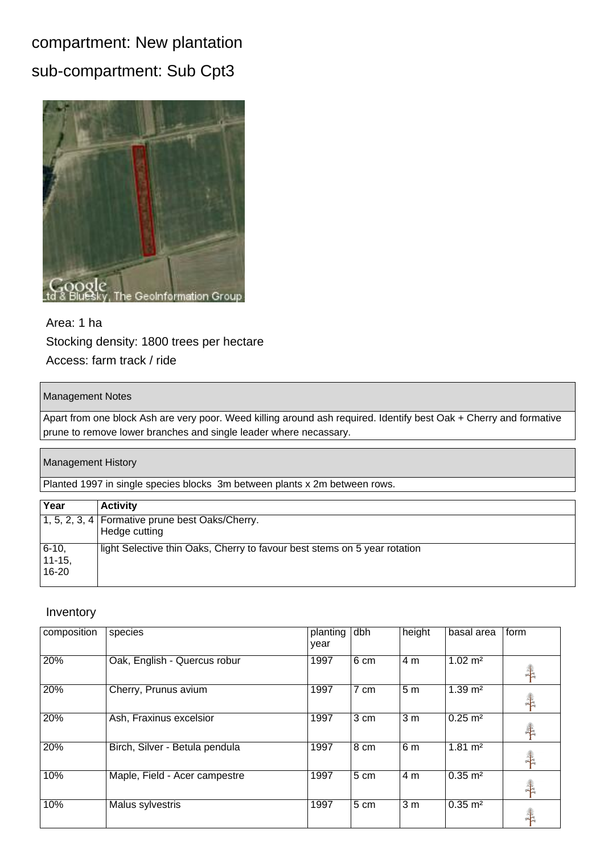## compartment: New plantation sub-compartment: Sub Cpt3



### Area: 1 ha Stocking density: 1800 trees per hectare Access: farm track / ride

#### Management Notes

Apart from one block Ash are very poor. Weed killing around ash required. Identify best Oak + Cherry and formative prune to remove lower branches and single leader where necassary.

#### Management History

Planted 1997 in single species blocks 3m between plants x 2m between rows.

| Year                             | <b>Activity</b>                                                            |
|----------------------------------|----------------------------------------------------------------------------|
|                                  | $\boxed{1, 5, 2, 3, 4}$ Formative prune best Oaks/Cherry.<br>Hedge cutting |
| $6 - 10$<br>$ 11 - 15 $<br>16-20 | light Selective thin Oaks, Cherry to favour best stems on 5 year rotation  |

| composition | species                        | planting<br>year | dbh             | height           | basal area         | form          |
|-------------|--------------------------------|------------------|-----------------|------------------|--------------------|---------------|
| 20%         | Oak, English - Quercus robur   | 1997             | 6 cm            | 4 m              | $1.02 \text{ m}^2$ | $\frac{1}{2}$ |
| 20%         | Cherry, Prunus avium           | 1997             | 7 cm            | 5 <sub>m</sub>   | $1.39 \text{ m}^2$ | <b>TANK</b>   |
| 20%         | Ash, Fraxinus excelsior        | 1997             | 3 cm            | 3 <sub>m</sub>   | $0.25 \text{ m}^2$ | $\ddagger$    |
| 20%         | Birch, Silver - Betula pendula | 1997             | 8 <sub>cm</sub> | 6 <sub>m</sub>   | $1.81 \text{ m}^2$ | $\frac{1}{2}$ |
| 10%         | Maple, Field - Acer campestre  | 1997             | 5 cm            | 4 <sub>m</sub>   | $0.35 \text{ m}^2$ | <b>THE</b>    |
| 10%         | Malus sylvestris               | 1997             | 5 cm            | $\overline{3}$ m | $0.35 \text{ m}^2$ | 羊             |